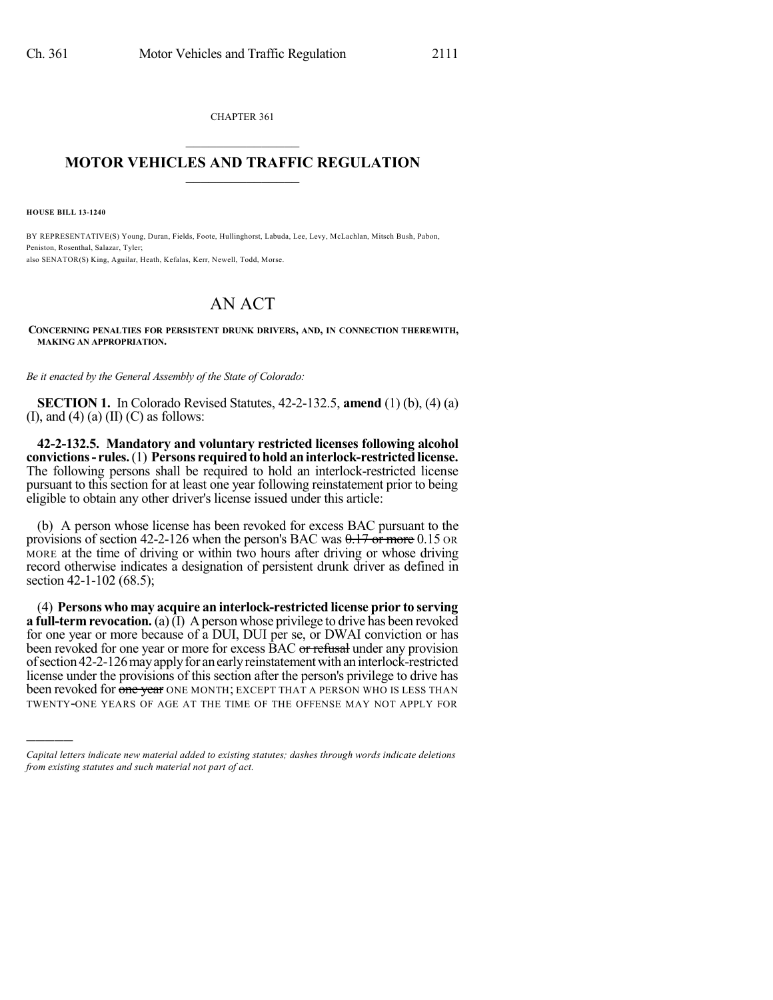CHAPTER 361  $\mathcal{L}_\text{max}$  . The set of the set of the set of the set of the set of the set of the set of the set of the set of the set of the set of the set of the set of the set of the set of the set of the set of the set of the set

## **MOTOR VEHICLES AND TRAFFIC REGULATION**  $\frac{1}{2}$  ,  $\frac{1}{2}$  ,  $\frac{1}{2}$  ,  $\frac{1}{2}$  ,  $\frac{1}{2}$  ,  $\frac{1}{2}$  ,  $\frac{1}{2}$

**HOUSE BILL 13-1240**

)))))

BY REPRESENTATIVE(S) Young, Duran, Fields, Foote, Hullinghorst, Labuda, Lee, Levy, McLachlan, Mitsch Bush, Pabon, Peniston, Rosenthal, Salazar, Tyler; also SENATOR(S) King, Aguilar, Heath, Kefalas, Kerr, Newell, Todd, Morse.

## AN ACT

**CONCERNING PENALTIES FOR PERSISTENT DRUNK DRIVERS, AND, IN CONNECTION THEREWITH, MAKING AN APPROPRIATION.**

*Be it enacted by the General Assembly of the State of Colorado:*

**SECTION 1.** In Colorado Revised Statutes, 42-2-132.5, **amend** (1) (b), (4) (a) (I), and (4) (a) (II) (C) as follows:

**42-2-132.5. Mandatory and voluntary restricted licenses following alcohol convictions** - rules. (1) Persons required to hold an interlock-restricted license. The following persons shall be required to hold an interlock-restricted license pursuant to this section for at least one year following reinstatement prior to being eligible to obtain any other driver's license issued under this article:

(b) A person whose license has been revoked for excess BAC pursuant to the provisions of section 42-2-126 when the person's BAC was  $0.17$  or more 0.15 OR MORE at the time of driving or within two hours after driving or whose driving record otherwise indicates a designation of persistent drunk driver as defined in section 42-1-102 (68.5);

(4) **Persons who may acquire an interlock-restricted license prior to serving a full-term revocation.** (a) (I) A person whose privilege to drive has been revoked for one year or more because of a DUI, DUI per se, or DWAI conviction or has been revoked for one year or more for excess BAC or refusal under any provision ofsection42-2-126mayapplyfor anearlyreinstatementwithaninterlock-restricted license under the provisions of this section after the person's privilege to drive has been revoked for one year ONE MONTH; EXCEPT THAT A PERSON WHO IS LESS THAN TWENTY-ONE YEARS OF AGE AT THE TIME OF THE OFFENSE MAY NOT APPLY FOR

*Capital letters indicate new material added to existing statutes; dashes through words indicate deletions from existing statutes and such material not part of act.*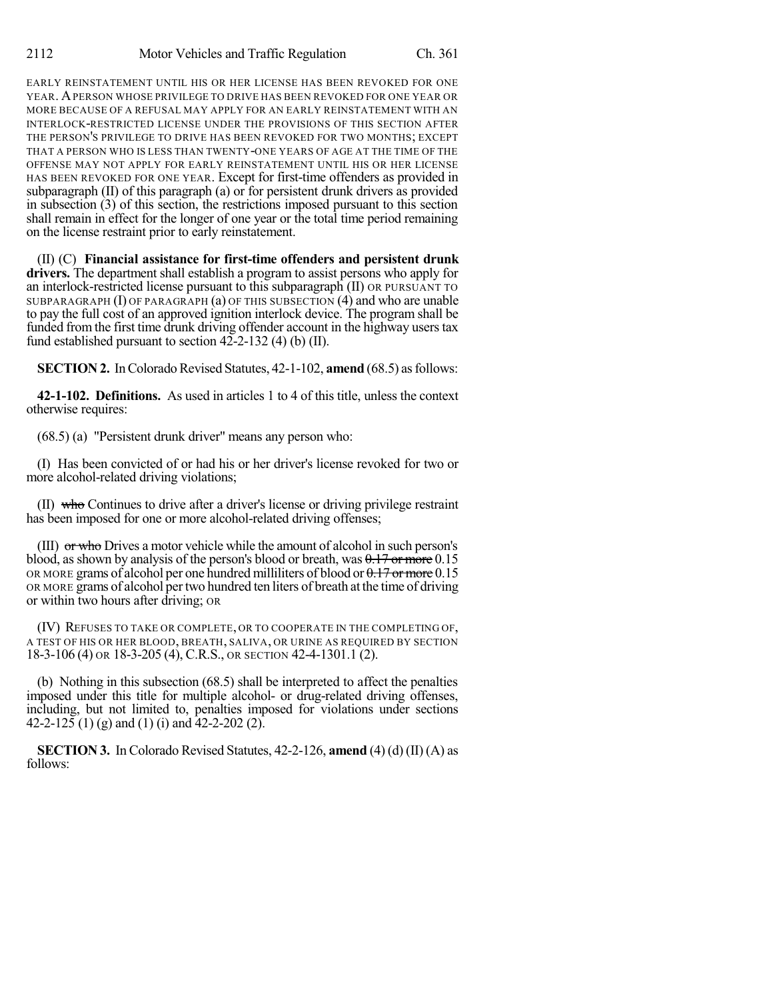EARLY REINSTATEMENT UNTIL HIS OR HER LICENSE HAS BEEN REVOKED FOR ONE YEAR. APERSON WHOSE PRIVILEGE TO DRIVE HAS BEEN REVOKED FOR ONE YEAR OR MORE BECAUSE OF A REFUSAL MAY APPLY FOR AN EARLY REINSTATEMENT WITH AN INTERLOCK-RESTRICTED LICENSE UNDER THE PROVISIONS OF THIS SECTION AFTER THE PERSON'S PRIVILEGE TO DRIVE HAS BEEN REVOKED FOR TWO MONTHS; EXCEPT THAT A PERSON WHO IS LESS THAN TWENTY-ONE YEARS OF AGE AT THE TIME OF THE OFFENSE MAY NOT APPLY FOR EARLY REINSTATEMENT UNTIL HIS OR HER LICENSE HAS BEEN REVOKED FOR ONE YEAR. Except for first-time offenders as provided in subparagraph (II) of this paragraph (a) or for persistent drunk drivers as provided in subsection (3) of this section, the restrictions imposed pursuant to this section shall remain in effect for the longer of one year or the total time period remaining on the license restraint prior to early reinstatement.

(II) (C) **Financial assistance for first-time offenders and persistent drunk drivers.** The department shall establish a program to assist persons who apply for an interlock-restricted license pursuant to this subparagraph (II) OR PURSUANT TO SUBPARAGRAPH (I) OF PARAGRAPH (a) OF THIS SUBSECTION (4) and who are unable to pay the full cost of an approved ignition interlock device. The program shall be funded from the first time drunk driving offender account in the highway users tax fund established pursuant to section  $42 - 2 - 132$  (4) (b) (II).

**SECTION 2.** In Colorado Revised Statutes, 42-1-102, **amend** (68.5) as follows:

**42-1-102. Definitions.** As used in articles 1 to 4 of this title, unless the context otherwise requires:

(68.5) (a) "Persistent drunk driver" means any person who:

(I) Has been convicted of or had his or her driver's license revoked for two or more alcohol-related driving violations;

(II) who Continues to drive after a driver's license or driving privilege restraint has been imposed for one or more alcohol-related driving offenses;

(III) or who Drives a motor vehicle while the amount of alcohol in such person's blood, as shown by analysis of the person's blood or breath, was  $0.17$  or more  $0.15$ OR MORE grams of alcohol per one hundred milliliters of blood or  $0.17$  or more 0.15 OR MORE grams of alcohol pertwo hundred ten liters of breath at the time of driving or within two hours after driving; OR

(IV) REFUSES TO TAKE OR COMPLETE, OR TO COOPERATE IN THE COMPLETING OF, A TEST OF HIS OR HER BLOOD, BREATH, SALIVA, OR URINE AS REQUIRED BY SECTION 18-3-106 (4) OR 18-3-205 (4), C.R.S., OR SECTION 42-4-1301.1 (2).

(b) Nothing in this subsection (68.5) shall be interpreted to affect the penalties imposed under this title for multiple alcohol- or drug-related driving offenses, including, but not limited to, penalties imposed for violations under sections 42-2-125 (1) (g) and (1) (i) and  $\overline{42}$ -2-202 (2).

**SECTION 3.** In Colorado Revised Statutes, 42-2-126, **amend** (4) (d) (II) (A) as follows: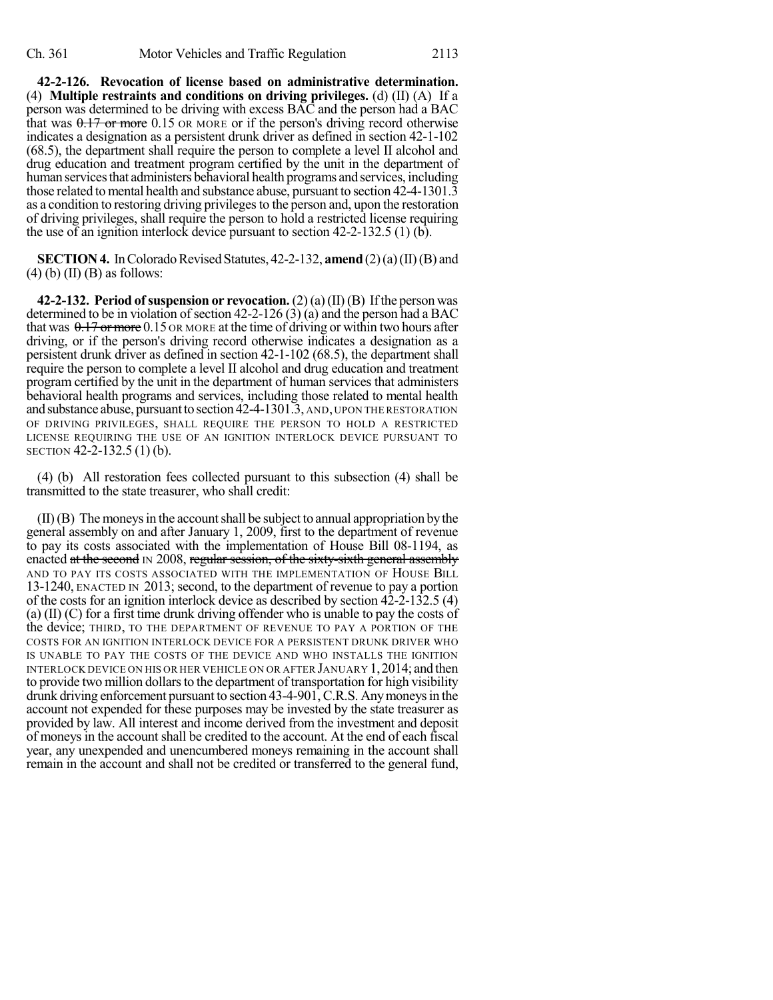**42-2-126. Revocation of license based on administrative determination.** (4) **Multiple restraints and conditions on driving privileges.** (d) (II) (A) If a person was determined to be driving with excess BAC and the person had a BAC that was  $0.17$  or more 0.15 OR MORE or if the person's driving record otherwise indicates a designation as a persistent drunk driver as defined in section 42-1-102 (68.5), the department shall require the person to complete a level II alcohol and drug education and treatment program certified by the unit in the department of human services that administers behavioral health programs and services, including those related to mental health and substance abuse, pursuant to section 42-4-1301.3 as a condition to restoring driving privileges to the person and, upon the restoration of driving privileges, shall require the person to hold a restricted license requiring the use of an ignition interlock device pursuant to section 42-2-132.5 (1) (b).

**SECTION 4.** In Colorado Revised Statutes,  $42-2-132$ , **amend**  $(2)(a)(II)(B)$  and  $(4)$  (b) (II) (B) as follows:

**42-2-132. Period of suspension or revocation.** (2) (a) (II) (B) Ifthe person was determined to be in violation of section 42-2-126 (3) (a) and the person had a BAC that was  $0.17$  or more 0.15 OR MORE at the time of driving or within two hours after driving, or if the person's driving record otherwise indicates a designation as a persistent drunk driver as defined in section 42-1-102 (68.5), the department shall require the person to complete a level II alcohol and drug education and treatment program certified by the unit in the department of human services that administers behavioral health programs and services, including those related to mental health and substance abuse, pursuant to section 42-4-1301.3, AND, UPON THE RESTORATION OF DRIVING PRIVILEGES, SHALL REQUIRE THE PERSON TO HOLD A RESTRICTED LICENSE REQUIRING THE USE OF AN IGNITION INTERLOCK DEVICE PURSUANT TO SECTION 42-2-132.5 (1) (b).

(4) (b) All restoration fees collected pursuant to this subsection (4) shall be transmitted to the state treasurer, who shall credit:

 $(II)(B)$  The moneys in the account shall be subject to annual appropriation by the general assembly on and after January 1, 2009, first to the department of revenue to pay its costs associated with the implementation of House Bill 08-1194, as enacted at the second IN 2008, regular session, of the sixty-sixth general assembly AND TO PAY ITS COSTS ASSOCIATED WITH THE IMPLEMENTATION OF HOUSE BILL 13-1240, ENACTED IN 2013; second, to the department of revenue to pay a portion of the costs for an ignition interlock device as described by section 42-2-132.5 (4) (a) (II) (C) for a first time drunk driving offender who is unable to pay the costs of the device; THIRD, TO THE DEPARTMENT OF REVENUE TO PAY A PORTION OF THE COSTS FOR AN IGNITION INTERLOCK DEVICE FOR A PERSISTENT DRUNK DRIVER WHO IS UNABLE TO PAY THE COSTS OF THE DEVICE AND WHO INSTALLS THE IGNITION INTERLOCK DEVICE ON HIS OR HER VEHICLE ON OR AFTER JANUARY 1,2014; and then to provide two million dollars to the department of transportation for high visibility drunk driving enforcement pursuant to section 43-4-901,C.R.S. Anymoneysin the account not expended for these purposes may be invested by the state treasurer as provided by law. All interest and income derived from the investment and deposit of moneys in the account shall be credited to the account. At the end of each fiscal year, any unexpended and unencumbered moneys remaining in the account shall remain in the account and shall not be credited or transferred to the general fund,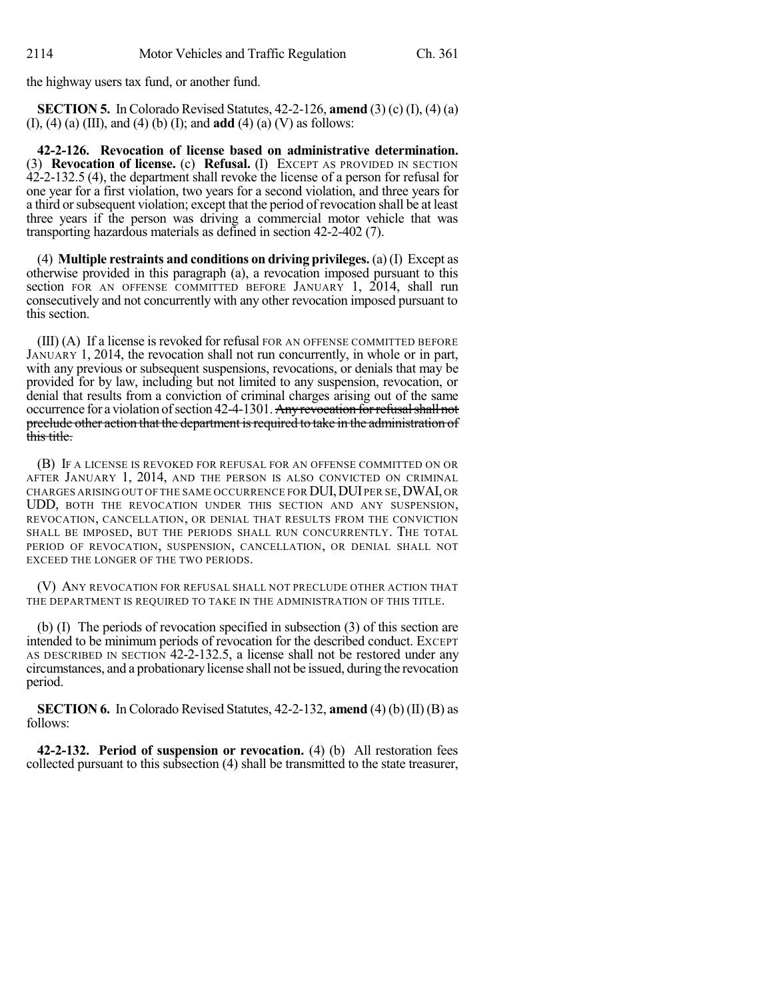the highway users tax fund, or another fund.

**SECTION 5.** In Colorado Revised Statutes, 42-2-126, **amend** (3) (c) (I), (4) (a) (I), (4) (a) (III), and (4) (b) (I); and **add** (4) (a) (V) as follows:

**42-2-126. Revocation of license based on administrative determination.** (3) **Revocation of license.** (c) **Refusal.** (I) EXCEPT AS PROVIDED IN SECTION 42-2-132.5 (4), the department shall revoke the license of a person for refusal for one year for a first violation, two years for a second violation, and three years for a third orsubsequent violation; except that the period of revocation shall be at least three years if the person was driving a commercial motor vehicle that was transporting hazardous materials as defined in section 42-2-402 (7).

(4) **Multiple restraints and conditions on driving privileges.** (a) (I) Except as otherwise provided in this paragraph (a), a revocation imposed pursuant to this section FOR AN OFFENSE COMMITTED BEFORE JANUARY 1, 2014, shall run consecutively and not concurrently with any other revocation imposed pursuant to this section.

(III) (A) If a license is revoked for refusal FOR AN OFFENSE COMMITTED BEFORE JANUARY 1, 2014, the revocation shall not run concurrently, in whole or in part, with any previous or subsequent suspensions, revocations, or denials that may be provided for by law, including but not limited to any suspension, revocation, or denial that results from a conviction of criminal charges arising out of the same occurrence for a violation of section 42-4-1301. Any revocation for refusal shall not preclude other action that the department is required to take in the administration of this title.

(B) IF A LICENSE IS REVOKED FOR REFUSAL FOR AN OFFENSE COMMITTED ON OR AFTER JANUARY 1, 2014, AND THE PERSON IS ALSO CONVICTED ON CRIMINAL CHARGES ARISING OUT OF THE SAME OCCURRENCE FOR DUI, DUI PER SE, DWAI, OR UDD, BOTH THE REVOCATION UNDER THIS SECTION AND ANY SUSPENSION, REVOCATION, CANCELLATION, OR DENIAL THAT RESULTS FROM THE CONVICTION SHALL BE IMPOSED, BUT THE PERIODS SHALL RUN CONCURRENTLY. THE TOTAL PERIOD OF REVOCATION, SUSPENSION, CANCELLATION, OR DENIAL SHALL NOT EXCEED THE LONGER OF THE TWO PERIODS.

(V) ANY REVOCATION FOR REFUSAL SHALL NOT PRECLUDE OTHER ACTION THAT THE DEPARTMENT IS REQUIRED TO TAKE IN THE ADMINISTRATION OF THIS TITLE.

(b) (I) The periods of revocation specified in subsection (3) of this section are intended to be minimum periods of revocation for the described conduct. EXCEPT AS DESCRIBED IN SECTION 42-2-132.5, a license shall not be restored under any circumstances, and a probationary license shall not be issued, during the revocation period.

**SECTION 6.** In Colorado Revised Statutes, 42-2-132, **amend** (4) (b) (II) (B) as follows:

**42-2-132. Period of suspension or revocation.** (4) (b) All restoration fees collected pursuant to this subsection (4) shall be transmitted to the state treasurer,